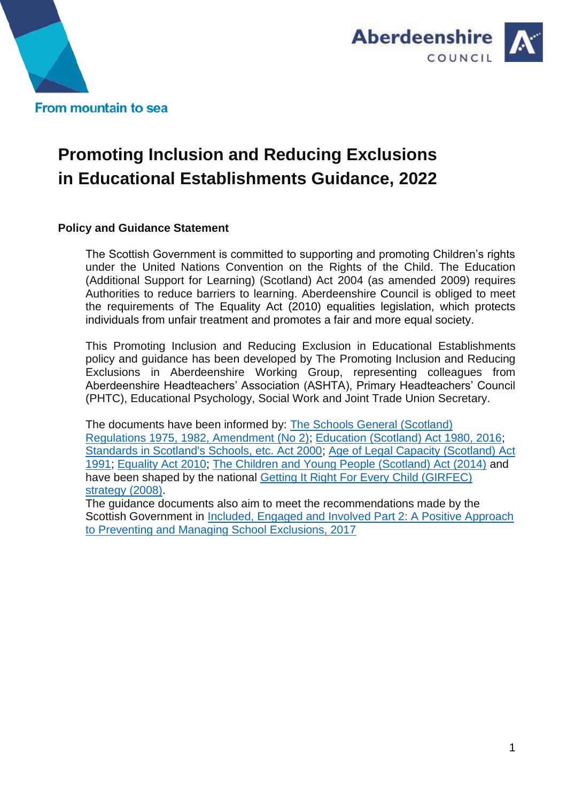



# **Promoting Inclusion and Reducing Exclusions in Educational Establishments Guidance, 2022**

### **Policy and Guidance Statement**

The Scottish Government is committed to supporting and promoting Children's rights under the United Nations Convention on the Rights of the Child. The Education (Additional Support for Learning) (Scotland) Act 2004 (as amended 2009) requires Authorities to reduce barriers to learning. Aberdeenshire Council is obliged to meet the requirements of The Equality Act (2010) equalities legislation, which protects individuals from unfair treatment and promotes a fair and more equal society.

This Promoting Inclusion and Reducing Exclusion in Educational Establishments policy and guidance has been developed by The Promoting Inclusion and Reducing Exclusions in Aberdeenshire Working Group, representing colleagues from Aberdeenshire Headteachers' Association (ASHTA), Primary Headteachers' Council (PHTC), Educational Psychology, Social Work and Joint Trade Union Secretary.

The documents have been informed by: [The Schools General \(Scotland\)](https://www.legislation.gov.uk/uksi/1982/1735/pdfs/uksi_19821735_en.pdf)  [Regulations 1975, 1982, Amendment \(No 2\);](https://www.legislation.gov.uk/uksi/1982/1735/pdfs/uksi_19821735_en.pdf) [Education \(Scotland\) Act 1980, 2016;](https://www.legislation.gov.uk/asp/2016/8/contents/enacted) [Standards in Scotland's Schools, etc. Act 2000;](https://www.legislation.gov.uk/asp/2000/6/contents) [Age of Legal Capacity \(Scotland\) Act](https://www.legislation.gov.uk/ukpga/1991/50/contents)  [1991;](https://www.legislation.gov.uk/ukpga/1991/50/contents) [Equality Act 2010;](https://www.legislation.gov.uk/ukpga/2010/15/contents) [The Children and Young People \(Scotland\) Act \(2014\)](https://www.legislation.gov.uk/asp/2014/8/contents/enacted) and have been shaped by the national [Getting It Right For Every Child \(GIRFEC\)](https://www.gov.scot/policies/girfec/)  [strategy \(2008\).](https://www.gov.scot/policies/girfec/)

The guidance documents also aim to meet the recommendations made by the Scottish Government in [Included, Engaged and Involved Part 2: A Positive Approach](https://www.gov.scot/publications/included-engaged-involved-part-2-positive-approach-preventing-managing-school/)  [to Preventing and Managing School Exclusions, 2017](https://www.gov.scot/publications/included-engaged-involved-part-2-positive-approach-preventing-managing-school/)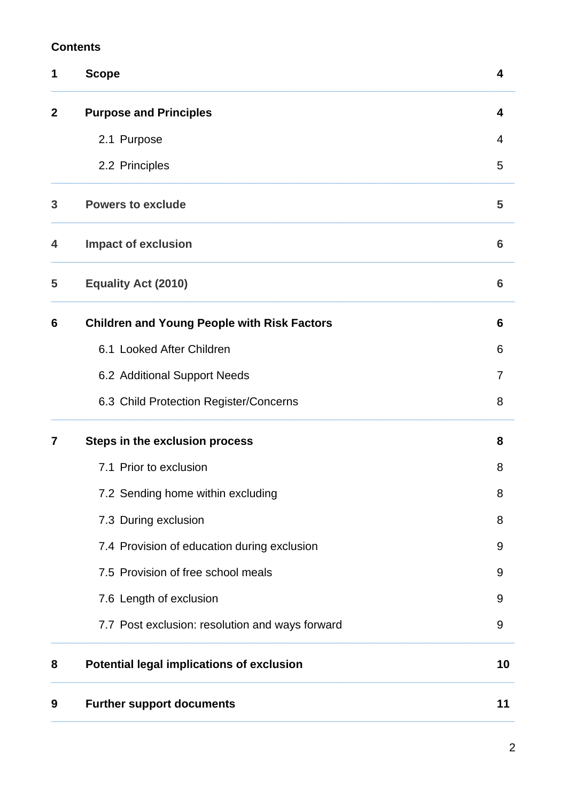# **Contents**

| 1           | <b>Scope</b>                                       | 4               |
|-------------|----------------------------------------------------|-----------------|
| $\mathbf 2$ | <b>Purpose and Principles</b>                      | 4               |
|             | 2.1 Purpose                                        | $\overline{4}$  |
|             | 2.2 Principles                                     | 5               |
| 3           | <b>Powers to exclude</b>                           | 5               |
| 4           | <b>Impact of exclusion</b>                         | $6\phantom{1}6$ |
| 5           | <b>Equality Act (2010)</b>                         | 6               |
| 6           | <b>Children and Young People with Risk Factors</b> | 6               |
|             | 6.1 Looked After Children                          | 6               |
|             | 6.2 Additional Support Needs                       | 7               |
|             | 6.3 Child Protection Register/Concerns             | 8               |
| 7           | Steps in the exclusion process                     | 8               |
|             | 7.1 Prior to exclusion                             | 8               |
|             | 7.2 Sending home within excluding                  | 8               |
|             | 7.3 During exclusion                               | 8               |
|             | 7.4 Provision of education during exclusion        | 9               |
|             | 7.5 Provision of free school meals                 | 9               |
|             | 7.6 Length of exclusion                            | 9               |
|             | 7.7 Post exclusion: resolution and ways forward    | 9               |
| 8           | <b>Potential legal implications of exclusion</b>   | 10              |
| 9           | <b>Further support documents</b>                   | 11              |
|             |                                                    |                 |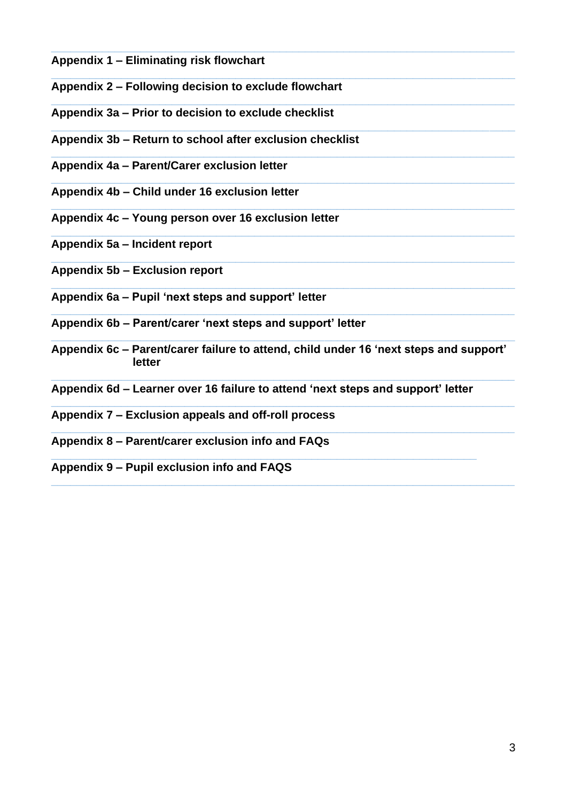- **Appendix 1 – Eliminating risk flowchart**
- **Appendix 2 – Following decision to exclude flowchart**
- **\_\_\_\_\_\_\_\_\_\_\_\_\_\_\_\_\_\_\_\_\_\_\_\_\_\_\_\_\_\_\_\_\_\_\_\_\_\_\_\_\_\_\_\_\_\_\_\_\_\_\_\_\_\_\_\_\_\_\_\_\_\_\_\_\_\_\_\_\_\_\_\_\_ Appendix 3a – Prior to decision to exclude checklist**
- **Appendix 3b – Return to school after exclusion checklist**
- **\_\_\_\_\_\_\_\_\_\_\_\_\_\_\_\_\_\_\_\_\_\_\_\_\_\_\_\_\_\_\_\_\_\_\_\_\_\_\_\_\_\_\_\_\_\_\_\_\_\_\_\_\_\_\_\_\_\_\_\_\_\_\_\_\_\_\_\_\_\_\_\_\_ Appendix 4a – Parent/Carer exclusion letter**
- **\_\_\_\_\_\_\_\_\_\_\_\_\_\_\_\_\_\_\_\_\_\_\_\_\_\_\_\_\_\_\_\_\_\_\_\_\_\_\_\_\_\_\_\_\_\_\_\_\_\_\_\_\_\_\_\_\_\_\_\_\_\_\_\_\_\_\_\_\_\_\_\_\_ Appendix 4b – Child under 16 exclusion letter**
- **Appendix 4c – Young person over 16 exclusion letter**
- **Appendix 5a – Incident report**
- **Appendix 5b – Exclusion report**
- **Appendix 6a – Pupil 'next steps and support' letter**
- **\_\_\_\_\_\_\_\_\_\_\_\_\_\_\_\_\_\_\_\_\_\_\_\_\_\_\_\_\_\_\_\_\_\_\_\_\_\_\_\_\_\_\_\_\_\_\_\_\_\_\_\_\_\_\_\_\_\_\_\_\_\_\_\_\_\_\_\_\_\_\_\_\_ Appendix 6b – Parent/carer 'next steps and support' letter**
- **\_\_\_\_\_\_\_\_\_\_\_\_\_\_\_\_\_\_\_\_\_\_\_\_\_\_\_\_\_\_\_\_\_\_\_\_\_\_\_\_\_\_\_\_\_\_\_\_\_\_\_\_\_\_\_\_\_\_\_\_\_\_\_\_\_\_\_\_\_\_\_\_\_ Appendix 6c – Parent/carer failure to attend, child under 16 'next steps and support' letter**

**\_\_\_\_\_\_\_\_\_\_\_\_\_\_\_\_\_\_\_\_\_\_\_\_\_\_\_\_\_\_\_\_\_\_\_\_\_\_\_\_\_\_\_\_\_\_\_\_\_\_\_\_\_\_\_\_\_\_\_\_\_\_\_\_\_\_\_\_\_\_\_\_\_**

**\_\_\_\_\_\_\_\_\_\_\_\_\_\_\_\_\_\_\_\_\_\_\_\_\_\_\_\_\_\_\_\_\_\_\_\_\_\_\_\_\_\_\_\_\_\_\_\_\_\_\_\_\_\_\_\_\_\_\_\_\_\_\_\_\_\_\_\_\_\_\_\_\_**

**\_\_\_\_\_\_\_\_\_\_\_\_\_\_\_\_\_\_\_\_\_\_\_\_\_\_\_\_\_\_\_\_\_\_\_\_\_\_\_\_\_\_\_\_\_\_\_\_\_\_\_\_\_\_\_\_\_\_\_\_\_\_\_\_\_\_\_\_\_\_\_\_\_**

**\_\_\_\_\_\_\_\_\_\_\_\_\_\_\_\_\_\_\_\_\_\_\_\_\_\_\_\_\_\_\_\_\_\_\_\_\_\_\_\_\_\_\_\_\_\_\_\_\_\_\_\_\_\_\_\_\_\_\_\_\_\_\_\_\_\_\_\_\_\_\_\_\_**

**\_\_\_\_\_\_\_\_\_\_\_\_\_\_\_\_\_\_\_\_\_\_\_\_\_\_\_\_\_\_\_\_\_\_\_\_\_\_\_\_\_\_\_\_\_\_\_\_\_\_\_\_\_\_\_\_\_\_\_\_\_\_\_\_\_\_\_\_\_\_\_\_\_**

**\_\_\_\_\_\_\_\_\_\_\_\_\_\_\_\_\_\_\_\_\_\_\_\_\_\_\_\_\_\_\_\_\_\_\_\_\_\_\_\_\_\_\_\_\_\_\_\_\_\_\_\_\_\_\_\_\_\_\_\_\_\_\_\_\_\_\_\_\_\_\_\_\_**

**\_\_\_\_\_\_\_\_\_\_\_\_\_\_\_\_\_\_\_\_\_\_\_\_\_\_\_\_\_\_\_\_\_\_\_\_\_\_\_\_\_\_\_\_\_\_\_\_\_\_\_\_\_\_\_\_\_\_\_\_\_\_\_\_\_\_\_\_\_\_\_\_\_**

**\_\_\_\_\_\_\_\_\_\_\_\_\_\_\_\_\_\_\_\_\_\_\_\_\_\_\_\_\_\_\_\_\_\_\_\_\_\_\_\_\_\_\_\_\_\_\_\_\_\_\_\_\_\_\_\_\_\_\_\_\_\_\_\_\_\_\_\_\_\_\_\_\_**

**\_\_\_\_\_\_\_\_\_\_\_\_\_\_\_\_\_\_\_\_\_\_\_\_\_\_\_\_\_\_\_\_\_\_\_\_\_\_\_\_\_\_\_\_\_\_\_\_\_\_\_\_\_\_\_\_\_\_\_\_\_\_\_\_\_\_\_\_\_\_\_\_\_**

**\_\_\_\_\_\_\_\_\_\_\_\_\_\_\_\_\_\_\_\_\_\_\_\_\_\_\_\_\_\_\_\_\_\_\_\_\_\_\_\_\_\_\_\_\_\_\_\_\_\_\_\_\_\_\_\_\_\_\_\_\_\_\_\_\_\_\_\_\_\_\_\_\_**

**\_\_\_\_\_\_\_\_\_\_\_\_\_\_\_\_\_\_\_\_\_\_\_\_\_\_\_\_\_\_\_\_\_\_\_\_\_\_\_\_\_\_\_\_\_\_\_\_\_\_\_\_\_\_\_\_\_\_\_\_\_\_\_\_\_\_\_\_\_\_\_\_\_**

**Appendix 6d – Learner over 16 failure to attend 'next steps and support' letter**

**\_\_\_\_\_\_\_\_\_\_\_\_\_\_\_\_\_\_\_\_\_\_\_\_\_\_\_\_\_\_\_\_\_\_\_\_\_\_\_\_\_\_\_\_\_\_\_\_\_\_\_\_\_\_\_\_\_\_\_\_\_\_\_\_\_\_\_**

- **Appendix 7 – Exclusion appeals and off-roll process**
- **Appendix 8 – Parent/carer exclusion info and FAQs**
- **Appendix 9 – Pupil exclusion info and FAQS**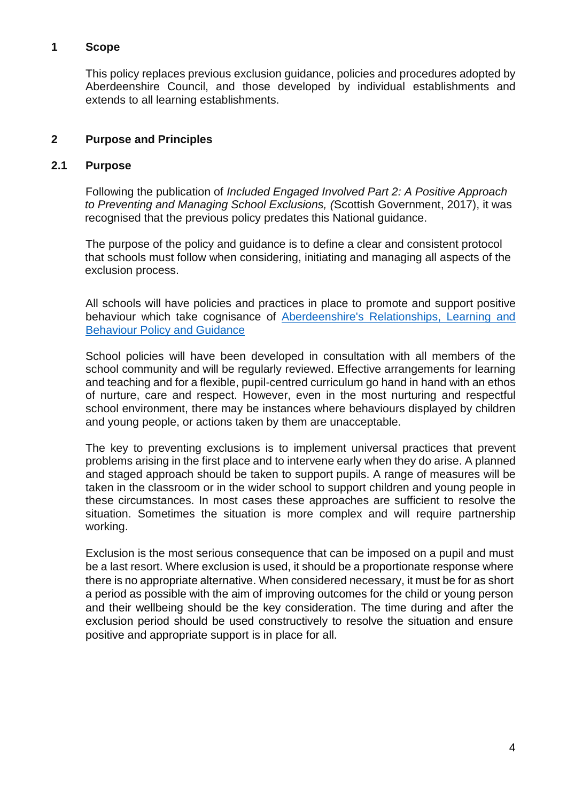#### **1 Scope**

This policy replaces previous exclusion guidance, policies and procedures adopted by Aberdeenshire Council, and those developed by individual establishments and extends to all learning establishments.

## **2 Purpose and Principles**

#### **2.1 Purpose**

Following the publication of *Included Engaged Involved Part 2: A Positive Approach to Preventing and Managing School Exclusions, (*Scottish Government, 2017), it was recognised that the previous policy predates this National guidance.

The purpose of the policy and guidance is to define a clear and consistent protocol that schools must follow when considering, initiating and managing all aspects of the exclusion process.

All schools will have policies and practices in place to promote and support positive behaviour which take cognisance of [Aberdeenshire's Relationships, Learning and](https://asn-aberdeenshire.org/wp-content/uploads/2022/06/Relationships-Learning-and-Behaviour-Interim-Guidance.pdf)  [Behaviour Policy and Guidance](https://asn-aberdeenshire.org/wp-content/uploads/2022/06/Relationships-Learning-and-Behaviour-Interim-Guidance.pdf)

School policies will have been developed in consultation with all members of the school community and will be regularly reviewed. Effective arrangements for learning and teaching and for a flexible, pupil-centred curriculum go hand in hand with an ethos of nurture, care and respect. However, even in the most nurturing and respectful school environment, there may be instances where behaviours displayed by children and young people, or actions taken by them are unacceptable.

The key to preventing exclusions is to implement universal practices that prevent problems arising in the first place and to intervene early when they do arise. A planned and staged approach should be taken to support pupils. A range of measures will be taken in the classroom or in the wider school to support children and young people in these circumstances. In most cases these approaches are sufficient to resolve the situation. Sometimes the situation is more complex and will require partnership working.

Exclusion is the most serious consequence that can be imposed on a pupil and must be a last resort. Where exclusion is used, it should be a proportionate response where there is no appropriate alternative. When considered necessary, it must be for as short a period as possible with the aim of improving outcomes for the child or young person and their wellbeing should be the key consideration. The time during and after the exclusion period should be used constructively to resolve the situation and ensure positive and appropriate support is in place for all.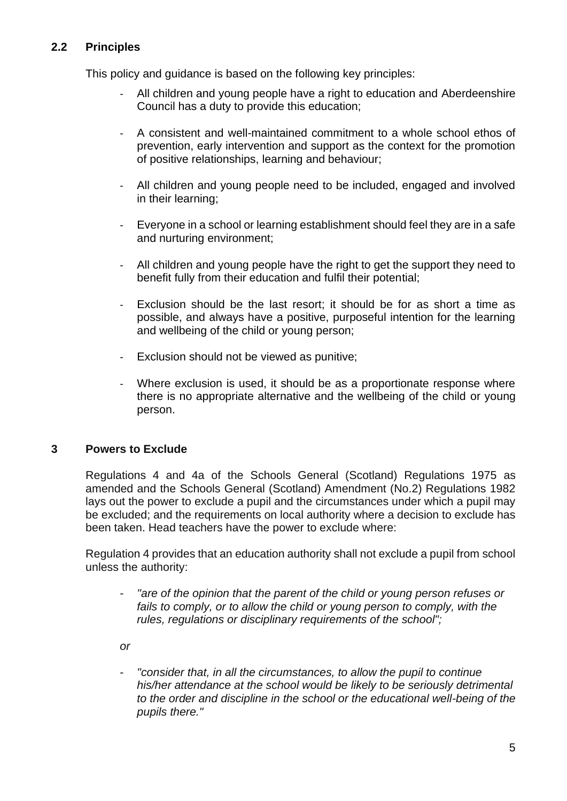# **2.2 Principles**

This policy and guidance is based on the following key principles:

- All children and young people have a right to education and Aberdeenshire Council has a duty to provide this education;
- A consistent and well-maintained commitment to a whole school ethos of prevention, early intervention and support as the context for the promotion of positive relationships, learning and behaviour;
- All children and young people need to be included, engaged and involved in their learning;
- Everyone in a school or learning establishment should feel they are in a safe and nurturing environment;
- All children and young people have the right to get the support they need to benefit fully from their education and fulfil their potential;
- Exclusion should be the last resort; it should be for as short a time as possible, and always have a positive, purposeful intention for the learning and wellbeing of the child or young person;
- Exclusion should not be viewed as punitive;
- Where exclusion is used, it should be as a proportionate response where there is no appropriate alternative and the wellbeing of the child or young person.

# **3 Powers to Exclude**

Regulations 4 and 4a of the [Schools General \(Scotland\) Regulations 1975](http://www.legislation.gov.uk/uksi/1975/1135/pdfs/uksi_19751135_en.pdf) as amended and the [Schools General \(Scotland\) Amendment \(No.2\) Regulations 1982](http://www.legislation.gov.uk/uksi/1982/1735/pdfs/uksi_19821735_en.pdf) lays out the power to exclude a pupil and the circumstances under which a pupil may be excluded; and the requirements on local authority where a decision to exclude has been taken. Head teachers have the power to exclude where:

Regulation 4 provides that an education authority shall not exclude a pupil from school unless the authority:

- *"are of the opinion that the parent of the child or young person refuses or fails to comply, or to allow the child or young person to comply, with the rules, regulations or disciplinary requirements of the school";*
- *or*
- *"consider that, in all the circumstances, to allow the pupil to continue his/her attendance at the school would be likely to be seriously detrimental to the order and discipline in the school or the educational well-being of the pupils there."*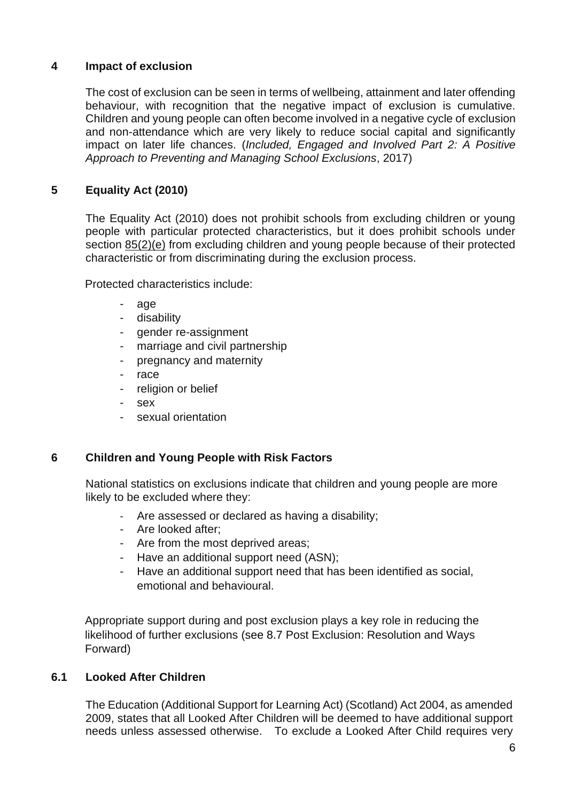# **4 Impact of exclusion**

The cost of exclusion can be seen in terms of wellbeing, attainment and later offending behaviour, with recognition that the negative impact of exclusion is cumulative. Children and young people can often become involved in a negative cycle of exclusion and non-attendance which are very likely to reduce social capital and significantly impact on later life chances. (*Included, Engaged and Involved Part 2: A Positive Approach to Preventing and Managing School Exclusions*, 2017)

# **5 Equality Act (2010)**

The Equality Act (2010) does not prohibit schools from excluding children or young people with particular protected characteristics, but it does prohibit schools under section [85\(2\)\(e\)](http://www.legislation.gov.uk/ukpga/2010/15/section/85) from excluding children and young people because of their protected characteristic or from discriminating during the exclusion process.

Protected characteristics include:

- age
- disability
- gender re-assignment
- marriage and civil partnership
- pregnancy and maternity
- race
- religion or belief
- sex
- sexual orientation

# **6 Children and Young People with Risk Factors**

National statistics on exclusions indicate that children and young people are more likely to be excluded where they:

- Are assessed or declared as having a disability;
- Are looked after;
- Are from the most deprived areas;
- Have an additional support need (ASN);
- Have an additional support need that has been identified as social, emotional and behavioural.

Appropriate support during and post exclusion plays a key role in reducing the likelihood of further exclusions (see 8.7 Post Exclusion: Resolution and Ways Forward)

# **6.1 Looked After Children**

The Education (Additional Support for Learning Act) (Scotland) Act 2004, as amended 2009, states that all Looked After Children will be deemed to have additional support needs unless assessed otherwise. To exclude a Looked After Child requires very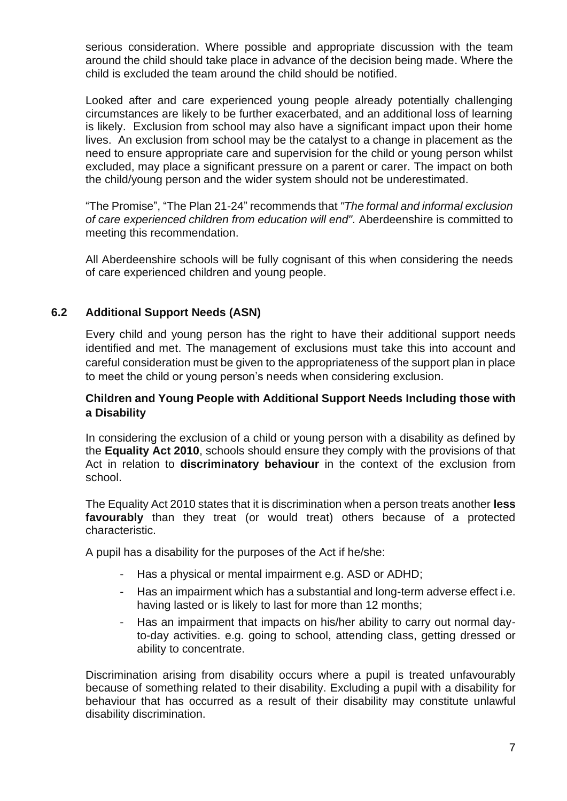serious consideration. Where possible and appropriate discussion with the team around the child should take place in advance of the decision being made. Where the child is excluded the team around the child should be notified.

Looked after and care experienced young people already potentially challenging circumstances are likely to be further exacerbated, and an additional loss of learning is likely. Exclusion from school may also have a significant impact upon their home lives. An exclusion from school may be the catalyst to a change in placement as the need to ensure appropriate care and supervision for the child or young person whilst excluded, may place a significant pressure on a parent or carer. The impact on both the child/young person and the wider system should not be underestimated.

"The Promise", "The Plan 21-24" recommends that *"The formal and informal exclusion of care experienced children from education will end".* Aberdeenshire is committed to meeting this recommendation.

All Aberdeenshire schools will be fully cognisant of this when considering the needs of care experienced children and young people.

# **6.2 Additional Support Needs (ASN)**

Every child and young person has the right to have their additional support needs identified and met. The management of exclusions must take this into account and careful consideration must be given to the appropriateness of the support plan in place to meet the child or young person's needs when considering exclusion.

### **Children and Young People with Additional Support Needs Including those with a Disability**

In considering the exclusion of a child or young person with a disability as defined by the **Equality Act 2010**, schools should ensure they comply with the provisions of that Act in relation to **discriminatory behaviour** in the context of the exclusion from school.

The Equality Act 2010 states that it is discrimination when a person treats another **less favourably** than they treat (or would treat) others because of a protected characteristic.

A pupil has a disability for the purposes of the Act if he/she:

- Has a physical or mental impairment e.g. ASD or ADHD;
- Has an impairment which has a substantial and long-term adverse effect i.e. having lasted or is likely to last for more than 12 months;
- Has an impairment that impacts on his/her ability to carry out normal dayto-day activities. e.g. going to school, attending class, getting dressed or ability to concentrate.

Discrimination arising from disability occurs where a pupil is treated unfavourably because of something related to their disability. Excluding a pupil with a disability for behaviour that has occurred as a result of their disability may constitute unlawful disability discrimination.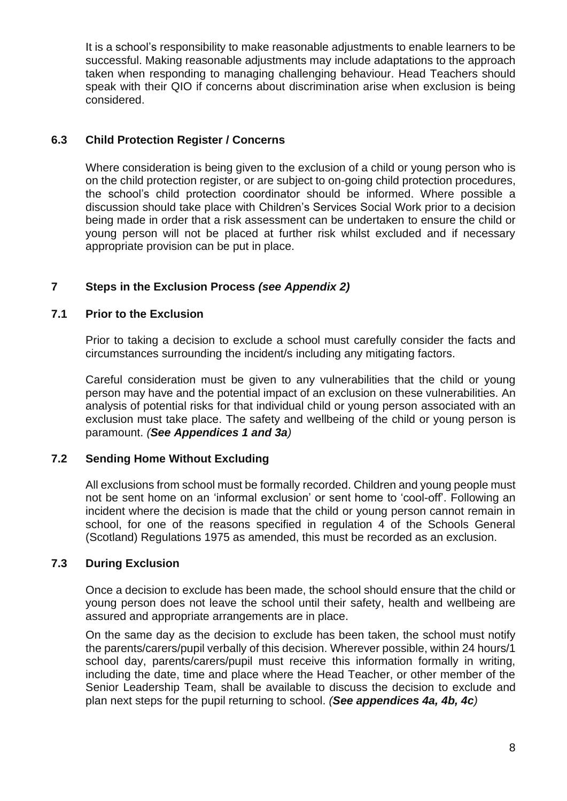It is a school's responsibility to make reasonable adjustments to enable learners to be successful. Making reasonable adjustments may include adaptations to the approach taken when responding to managing challenging behaviour. Head Teachers should speak with their QIO if concerns about discrimination arise when exclusion is being considered.

## **6.3 Child Protection Register / Concerns**

Where consideration is being given to the exclusion of a child or young person who is on the child protection register, or are subject to on-going child protection procedures, the school's child protection coordinator should be informed. Where possible a discussion should take place with Children's Services Social Work prior to a decision being made in order that a risk assessment can be undertaken to ensure the child or young person will not be placed at further risk whilst excluded and if necessary appropriate provision can be put in place.

# **7 Steps in the Exclusion Process** *(see Appendix 2)*

#### **7.1 Prior to the Exclusion**

Prior to taking a decision to exclude a school must carefully consider the facts and circumstances surrounding the incident/s including any mitigating factors.

Careful consideration must be given to any vulnerabilities that the child or young person may have and the potential impact of an exclusion on these vulnerabilities. An analysis of potential risks for that individual child or young person associated with an exclusion must take place. The safety and wellbeing of the child or young person is paramount. *(See Appendices 1 and 3a)*

### **7.2 Sending Home Without Excluding**

All exclusions from school must be formally recorded. Children and young people must not be sent home on an 'informal exclusion' or sent home to 'cool-off'. Following an incident where the decision is made that the child or young person cannot remain in school, for one of the reasons specified in regulation 4 of the Schools General (Scotland) Regulations 1975 as amended, this must be recorded as an exclusion.

#### **7.3 During Exclusion**

Once a decision to exclude has been made, the school should ensure that the child or young person does not leave the school until their safety, health and wellbeing are assured and appropriate arrangements are in place.

On the same day as the decision to exclude has been taken, the school must notify the parents/carers/pupil verbally of this decision. Wherever possible, within 24 hours/1 school day, parents/carers/pupil must receive this information formally in writing. including the date, time and place where the Head Teacher, or other member of the Senior Leadership Team, shall be available to discuss the decision to exclude and plan next steps for the pupil returning to school. *(See appendices 4a, 4b, 4c)*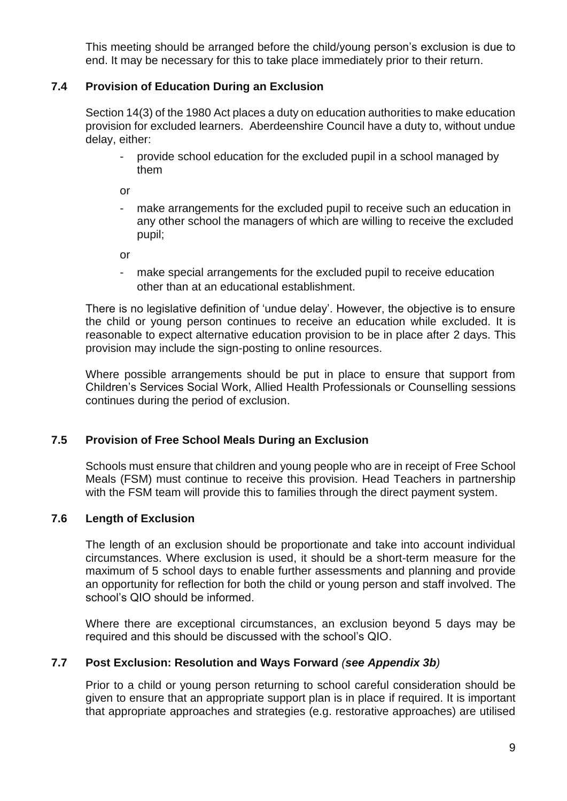This meeting should be arranged before the child/young person's exclusion is due to end. It may be necessary for this to take place immediately prior to their return.

# **7.4 Provision of Education During an Exclusion**

Section 14(3) of the 1980 Act places a duty on education authorities to make education provision for excluded learners. Aberdeenshire Council have a duty to, without undue delay, either:

- provide school education for the excluded pupil in a school managed by them

or

make arrangements for the excluded pupil to receive such an education in any other school the managers of which are willing to receive the excluded pupil;

or

make special arrangements for the excluded pupil to receive education other than at an educational establishment.

There is no legislative definition of 'undue delay'. However, the objective is to ensure the child or young person continues to receive an education while excluded. It is reasonable to expect alternative education provision to be in place after 2 days. This provision may include the sign-posting to online resources.

Where possible arrangements should be put in place to ensure that support from Children's Services Social Work, Allied Health Professionals or Counselling sessions continues during the period of exclusion.

#### **7.5 Provision of Free School Meals During an Exclusion**

Schools must ensure that children and young people who are in receipt of Free School Meals (FSM) must continue to receive this provision. Head Teachers in partnership with the FSM team will provide this to families through the direct payment system.

#### **7.6 Length of Exclusion**

The length of an exclusion should be proportionate and take into account individual circumstances. Where exclusion is used, it should be a short-term measure for the maximum of 5 school days to enable further assessments and planning and provide an opportunity for reflection for both the child or young person and staff involved. The school's QIO should be informed.

Where there are exceptional circumstances, an exclusion beyond 5 days may be required and this should be discussed with the school's QIO.

#### **7.7 Post Exclusion: Resolution and Ways Forward** *(see Appendix 3b)*

Prior to a child or young person returning to school careful consideration should be given to ensure that an appropriate support plan is in place if required. It is important that appropriate approaches and strategies (e.g. restorative approaches) are utilised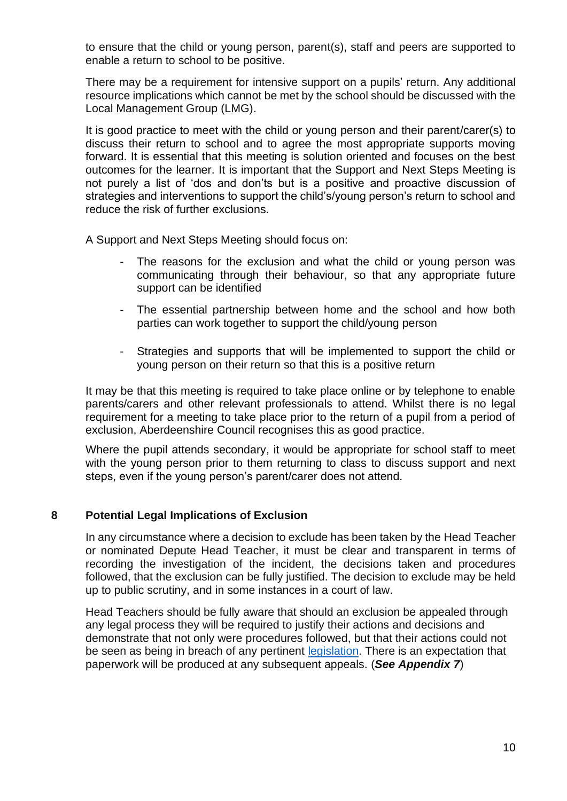to ensure that the child or young person, parent(s), staff and peers are supported to enable a return to school to be positive.

There may be a requirement for intensive support on a pupils' return. Any additional resource implications which cannot be met by the school should be discussed with the Local Management Group (LMG).

It is good practice to meet with the child or young person and their parent/carer(s) to discuss their return to school and to agree the most appropriate supports moving forward. It is essential that this meeting is solution oriented and focuses on the best outcomes for the learner. It is important that the Support and Next Steps Meeting is not purely a list of 'dos and don'ts but is a positive and proactive discussion of strategies and interventions to support the child's/young person's return to school and reduce the risk of further exclusions.

A Support and Next Steps Meeting should focus on:

- The reasons for the exclusion and what the child or young person was communicating through their behaviour, so that any appropriate future support can be identified
- The essential partnership between home and the school and how both parties can work together to support the child/young person
- Strategies and supports that will be implemented to support the child or young person on their return so that this is a positive return

It may be that this meeting is required to take place online or by telephone to enable parents/carers and other relevant professionals to attend. Whilst there is no legal requirement for a meeting to take place prior to the return of a pupil from a period of exclusion, Aberdeenshire Council recognises this as good practice.

Where the pupil attends secondary, it would be appropriate for school staff to meet with the young person prior to them returning to class to discuss support and next steps, even if the young person's parent/carer does not attend.

#### **8 Potential Legal Implications of Exclusion**

In any circumstance where a decision to exclude has been taken by the Head Teacher or nominated Depute Head Teacher, it must be clear and transparent in terms of recording the investigation of the incident, the decisions taken and procedures followed, that the exclusion can be fully justified. The decision to exclude may be held up to public scrutiny, and in some instances in a court of law.

Head Teachers should be fully aware that should an exclusion be appealed through any legal process they will be required to justify their actions and decisions and demonstrate that not only were procedures followed, but that their actions could not be seen as being in breach of any pertinent [legislation.](https://www.legislation.gov.uk/ukpga/1980/44/section/28H) There is an expectation that paperwork will be produced at any subsequent appeals. (*See Appendix 7*)